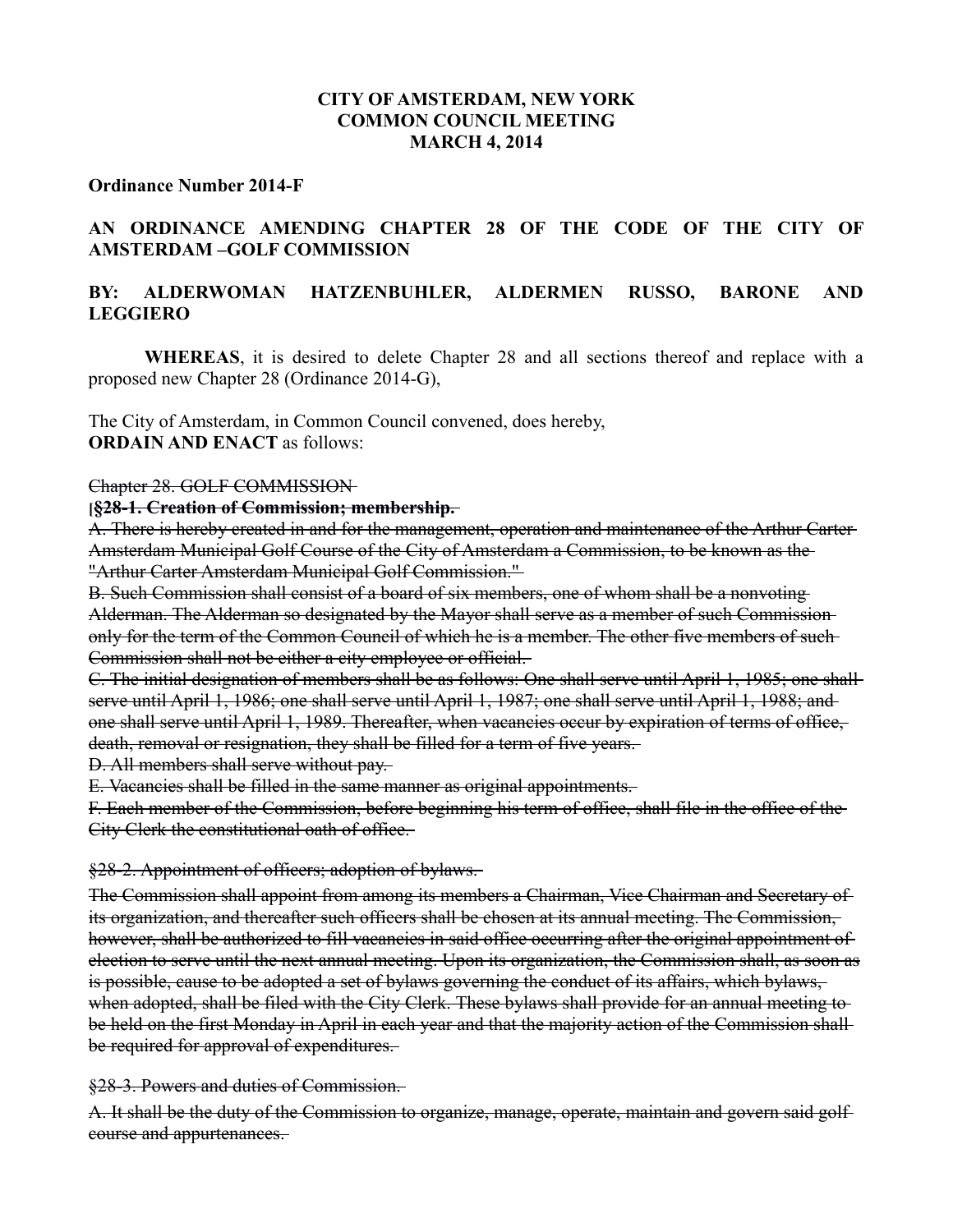## **CITY OF AMSTERDAM, NEW YORK COMMON COUNCIL MEETING MARCH 4, 2014**

#### **Ordinance Number 2014-F**

# **AN ORDINANCE AMENDING CHAPTER 28 OF THE CODE OF THE CITY OF AMSTERDAM –GOLF COMMISSION**

# **BY: ALDERWOMAN HATZENBUHLER, ALDERMEN RUSSO, BARONE AND LEGGIERO**

**WHEREAS**, it is desired to delete Chapter 28 and all sections thereof and replace with a proposed new Chapter 28 (Ordinance 2014-G),

The City of Amsterdam, in Common Council convened, does hereby, **ORDAIN AND ENACT** as follows:

#### Chapter 28. GOLF COMMISSION

#### **[§28-1. Creation of Commission; membership.**

A. There is hereby created in and for the management, operation and maintenance of the Arthur Carter Amsterdam Municipal Golf Course of the City of Amsterdam a Commission, to be known as the "Arthur Carter Amsterdam Municipal Golf Commission."

B. Such Commission shall consist of a board of six members, one of whom shall be a nonvoting Alderman. The Alderman so designated by the Mayor shall serve as a member of such Commission only for the term of the Common Council of which he is a member. The other five members of such-Commission shall not be either a city employee or official.

C. The initial designation of members shall be as follows: One shall serve until April 1, 1985; one shall serve until April 1, 1986; one shall serve until April 1, 1987; one shall serve until April 1, 1988; and one shall serve until April 1, 1989. Thereafter, when vacancies occur by expiration of terms of office, death, removal or resignation, they shall be filled for a term of five years.

D. All members shall serve without pay.

E. Vacancies shall be filled in the same manner as original appointments.

F. Each member of the Commission, before beginning his term of office, shall file in the office of the City Clerk the constitutional oath of office.

#### §28-2. Appointment of officers; adoption of bylaws.

The Commission shall appoint from among its members a Chairman, Vice Chairman and Secretary of its organization, and thereafter such officers shall be chosen at its annual meeting. The Commission, however, shall be authorized to fill vacancies in said office occurring after the original appointment of election to serve until the next annual meeting. Upon its organization, the Commission shall, as soon as is possible, cause to be adopted a set of bylaws governing the conduct of its affairs, which bylaws, when adopted, shall be filed with the City Clerk. These bylaws shall provide for an annual meeting to be held on the first Monday in April in each year and that the majority action of the Commission shall be required for approval of expenditures.

§28-3. Powers and duties of Commission.

A. It shall be the duty of the Commission to organize, manage, operate, maintain and govern said golf course and appurtenances.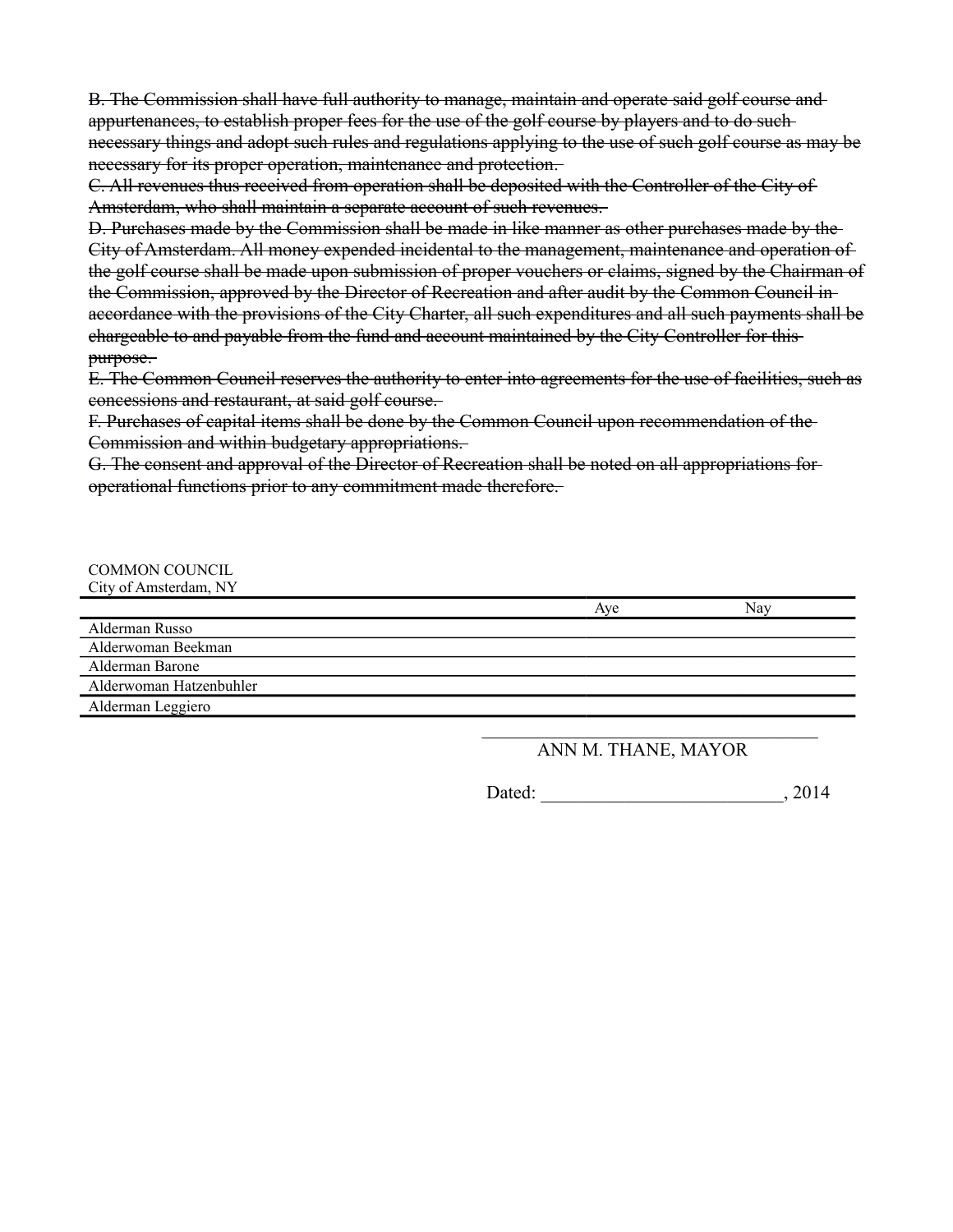B. The Commission shall have full authority to manage, maintain and operate said golf course and appurtenances, to establish proper fees for the use of the golf course by players and to do such necessary things and adopt such rules and regulations applying to the use of such golf course as may be necessary for its proper operation, maintenance and protection.

C. All revenues thus received from operation shall be deposited with the Controller of the City of Amsterdam, who shall maintain a separate account of such revenues.

D. Purchases made by the Commission shall be made in like manner as other purchases made by the City of Amsterdam. All money expended incidental to the management, maintenance and operation of the golf course shall be made upon submission of proper vouchers or claims, signed by the Chairman of the Commission, approved by the Director of Recreation and after audit by the Common Council in accordance with the provisions of the City Charter, all such expenditures and all such payments shall be chargeable to and payable from the fund and account maintained by the City Controller for this purpose.

E. The Common Council reserves the authority to enter into agreements for the use of facilities, such as concessions and restaurant, at said golf course.

F. Purchases of capital items shall be done by the Common Council upon recommendation of the Commission and within budgetary appropriations.

G. The consent and approval of the Director of Recreation shall be noted on all appropriations for operational functions prior to any commitment made therefore.

| <b>COMMON COUNCIL</b>   |     |     |
|-------------------------|-----|-----|
| City of Amsterdam, NY   |     |     |
|                         | Ave | Nav |
| Alderman Russo          |     |     |
| Alderwoman Beekman      |     |     |
| Alderman Barone         |     |     |
| Alderwoman Hatzenbuhler |     |     |
| Alderman Leggiero       |     |     |

## $\mathcal{L}_\text{max}$  , and the set of the set of the set of the set of the set of the set of the set of the set of the set of the set of the set of the set of the set of the set of the set of the set of the set of the set of the ANN M. THANE, MAYOR

Dated:  $2014$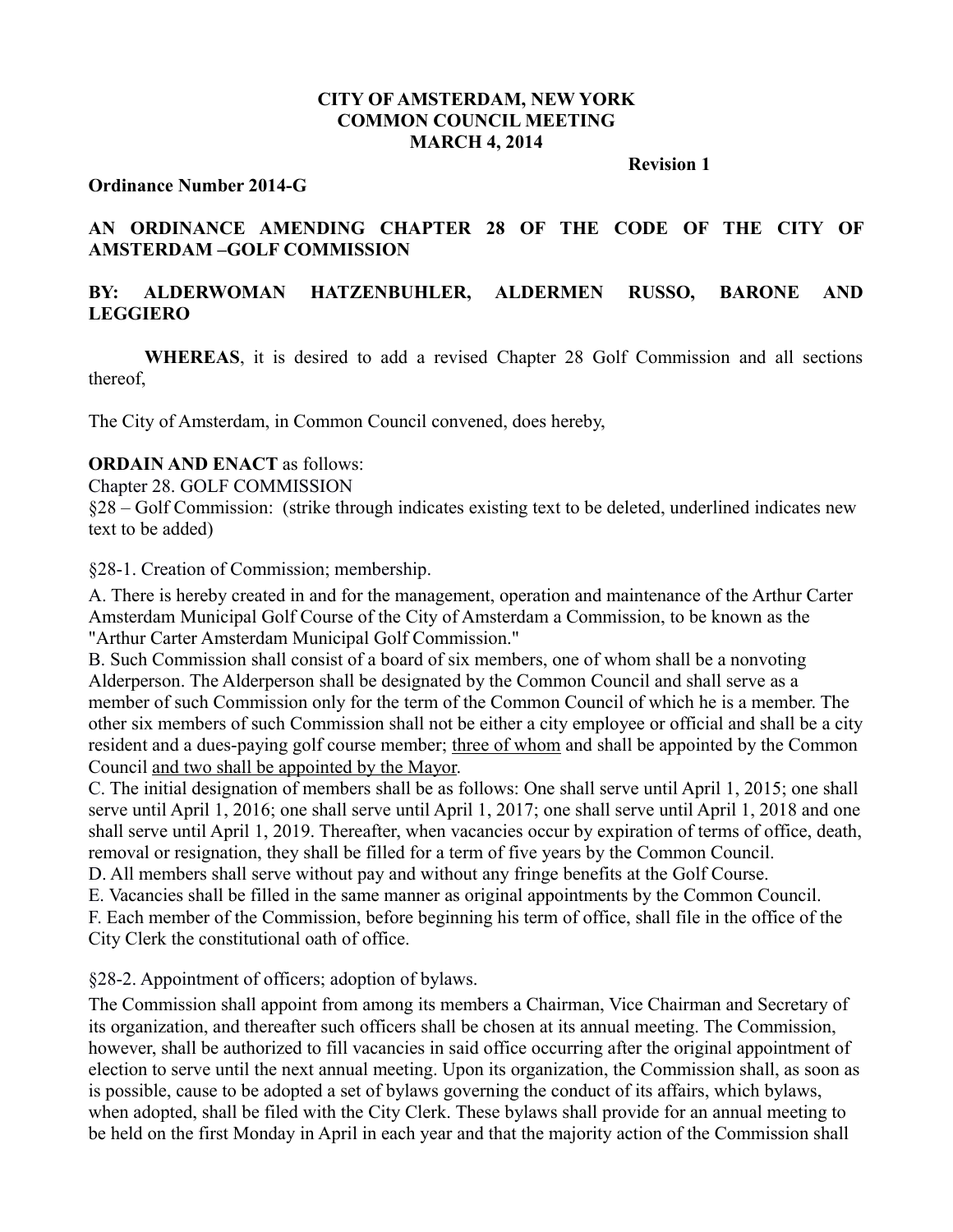## **CITY OF AMSTERDAM, NEW YORK COMMON COUNCIL MEETING MARCH 4, 2014**

**Revision 1**

### **Ordinance Number 2014-G**

# **AN ORDINANCE AMENDING CHAPTER 28 OF THE CODE OF THE CITY OF AMSTERDAM –GOLF COMMISSION**

# **BY: ALDERWOMAN HATZENBUHLER, ALDERMEN RUSSO, BARONE AND LEGGIERO**

**WHEREAS**, it is desired to add a revised Chapter 28 Golf Commission and all sections thereof,

The City of Amsterdam, in Common Council convened, does hereby,

## **ORDAIN AND ENACT** as follows:

Chapter 28. GOLF COMMISSION

§28 – Golf Commission: (strike through indicates existing text to be deleted, underlined indicates new text to be added)

§28-1. Creation of Commission; membership.

A. There is hereby created in and for the management, operation and maintenance of the Arthur Carter Amsterdam Municipal Golf Course of the City of Amsterdam a Commission, to be known as the "Arthur Carter Amsterdam Municipal Golf Commission."

B. Such Commission shall consist of a board of six members, one of whom shall be a nonvoting Alderperson. The Alderperson shall be designated by the Common Council and shall serve as a member of such Commission only for the term of the Common Council of which he is a member. The other six members of such Commission shall not be either a city employee or official and shall be a city resident and a dues-paying golf course member; three of whom and shall be appointed by the Common Council and two shall be appointed by the Mayor.

C. The initial designation of members shall be as follows: One shall serve until April 1, 2015; one shall serve until April 1, 2016; one shall serve until April 1, 2017; one shall serve until April 1, 2018 and one shall serve until April 1, 2019. Thereafter, when vacancies occur by expiration of terms of office, death, removal or resignation, they shall be filled for a term of five years by the Common Council.

D. All members shall serve without pay and without any fringe benefits at the Golf Course.

E. Vacancies shall be filled in the same manner as original appointments by the Common Council.

F. Each member of the Commission, before beginning his term of office, shall file in the office of the City Clerk the constitutional oath of office.

§28-2. Appointment of officers; adoption of bylaws.

The Commission shall appoint from among its members a Chairman, Vice Chairman and Secretary of its organization, and thereafter such officers shall be chosen at its annual meeting. The Commission, however, shall be authorized to fill vacancies in said office occurring after the original appointment of election to serve until the next annual meeting. Upon its organization, the Commission shall, as soon as is possible, cause to be adopted a set of bylaws governing the conduct of its affairs, which bylaws, when adopted, shall be filed with the City Clerk. These bylaws shall provide for an annual meeting to be held on the first Monday in April in each year and that the majority action of the Commission shall